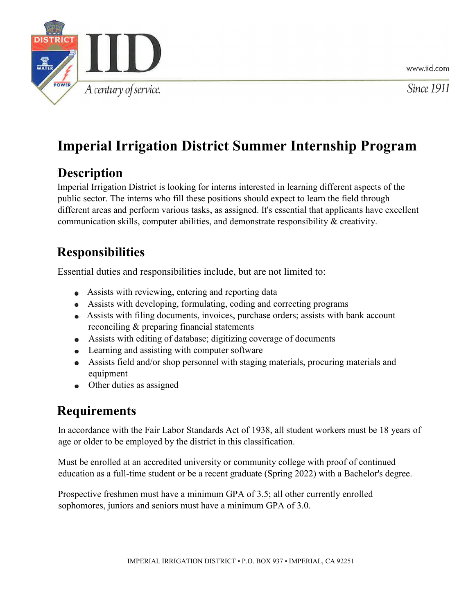



# **Imperial Irrigation District Summer Internship Program**

### **Description**

Imperial Irrigation District is looking for interns interested in learning different aspects of the public sector. The interns who fill these positions should expect to learn the field through different areas and perform various tasks, as assigned. It's essential that applicants have excellent communication skills, computer abilities, and demonstrate responsibility & creativity.

## **Responsibilities**

Essential duties and responsibilities include, but are not limited to:

- Assists with reviewing, entering and reporting data
- Assists with developing, formulating, coding and correcting programs
- Assists with filing documents, invoices, purchase orders; assists with bank account reconciling & preparing financial statements
- Assists with editing of database; digitizing coverage of documents
- Learning and assisting with computer software
- Assists field and/or shop personnel with staging materials, procuring materials and equipment
- Other duties as assigned

## **Requirements**

In accordance with the Fair Labor Standards Act of 1938, all student workers must be 18 years of age or older to be employed by the district in this classification.

Must be enrolled at an accredited university or community college with proof of continued education as a full-time student or be a recent graduate (Spring 2022) with a Bachelor's degree.

Prospective freshmen must have a minimum GPA of 3.5; all other currently enrolled sophomores, juniors and seniors must have a minimum GPA of 3.0.